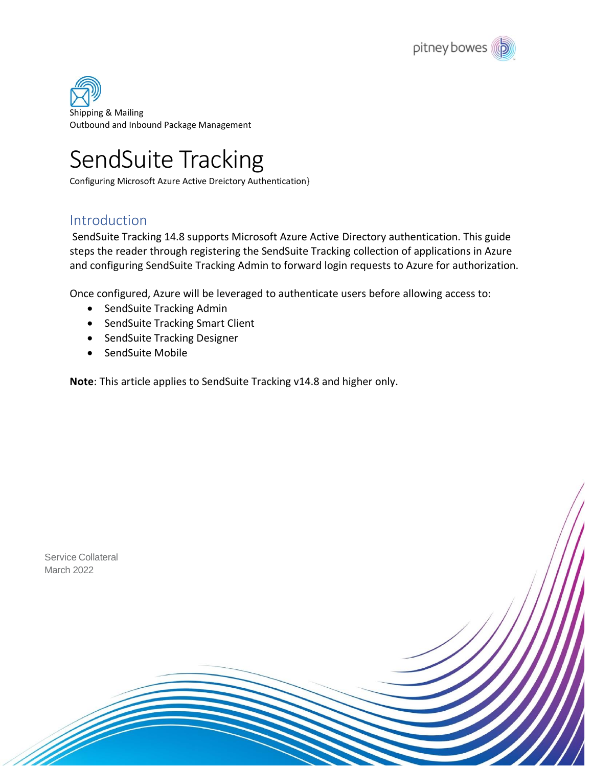

Shipping & Mailing Outbound and Inbound Package Management

# SendSuite Tracking

Configuring Microsoft Azure Active Dreictory Authentication}

### <span id="page-0-0"></span>Introduction

SendSuite Tracking 14.8 supports Microsoft Azure Active Directory authentication. This guide steps the reader through registering the SendSuite Tracking collection of applications in Azure and configuring SendSuite Tracking Admin to forward login requests to Azure for authorization.

Once configured, Azure will be leveraged to authenticate users before allowing access to:

- SendSuite Tracking Admin
- SendSuite Tracking Smart Client
- SendSuite Tracking Designer
- SendSuite Mobile

**Note**: This article applies to SendSuite Tracking v14.8 and higher only.

Service Collateral March 2022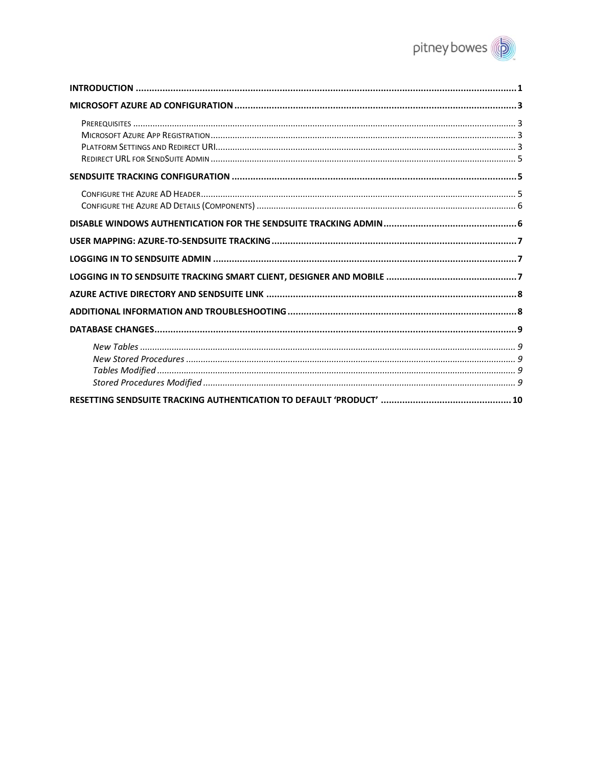

<span id="page-1-0"></span>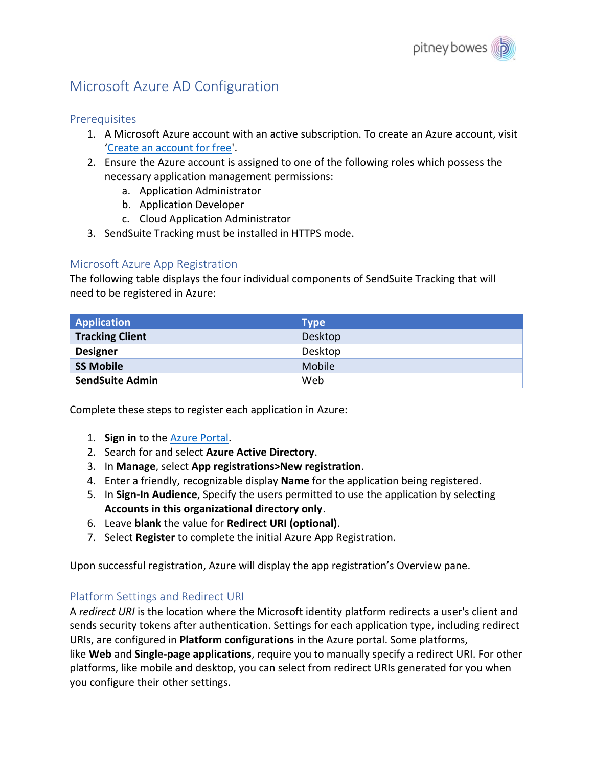# Microsoft Azure AD Configuration

### <span id="page-2-0"></span>**Prerequisites**

- 1. A Microsoft Azure account with an active subscription. To create an Azure account, visit '[Create an account for free'](https://azure.microsoft.com/free/?WT.mc_id=A261C142F).
- 2. Ensure the Azure account is assigned to one of the following roles which possess the necessary application management permissions:
	- a. Application Administrator
	- b. Application Developer
	- c. Cloud Application Administrator
- 3. SendSuite Tracking must be installed in HTTPS mode.

### <span id="page-2-1"></span>Microsoft Azure App Registration

The following table displays the four individual components of SendSuite Tracking that will need to be registered in Azure:

| <b>Application</b>     | <b>Type</b> |
|------------------------|-------------|
| <b>Tracking Client</b> | Desktop     |
| <b>Designer</b>        | Desktop     |
| <b>SS Mobile</b>       | Mobile      |
| <b>SendSuite Admin</b> | Web         |

Complete these steps to register each application in Azure:

- 1. **Sign in** to th[e Azure Portal.](https://portal.azure.com/)
- 2. Search for and select **Azure Active Directory**.
- 3. In **Manage**, select **App registrations>New registration**.
- 4. Enter a friendly, recognizable display **Name** for the application being registered.
- 5. In **Sign-In Audience**, Specify the users permitted to use the application by selecting **Accounts in this organizational directory only**.
- 6. Leave **blank** the value for **Redirect URI (optional)**.
- 7. Select **Register** to complete the initial Azure App Registration.

Upon successful registration, Azure will display the app registration's Overview pane.

### <span id="page-2-2"></span>Platform Settings and Redirect URI

A *redirect URI* is the location where the Microsoft identity platform redirects a user's client and sends security tokens after authentication. Settings for each application type, including redirect URIs, are configured in **Platform configurations** in the Azure portal. Some platforms, like **Web** and **Single-page applications**, require you to manually specify a redirect URI. For other platforms, like mobile and desktop, you can select from redirect URIs generated for you when you configure their other settings.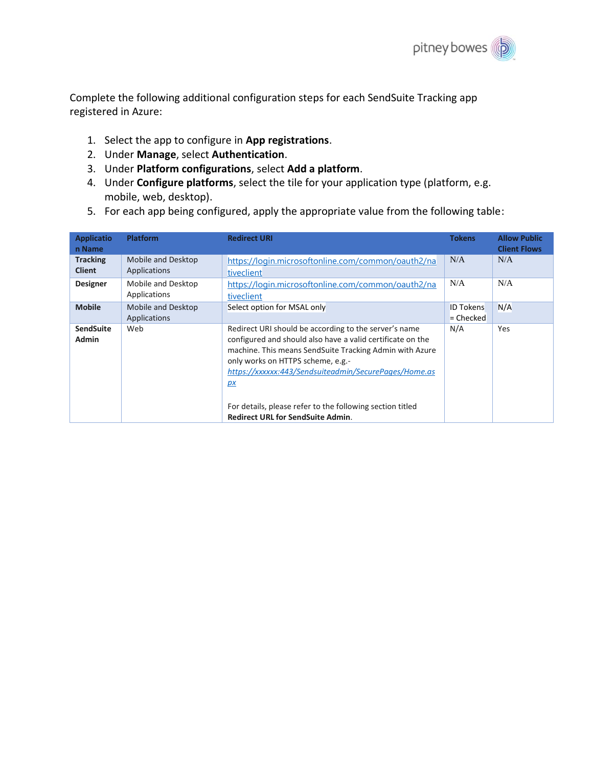

Complete the following additional configuration steps for each SendSuite Tracking app registered in Azure:

- 1. Select the app to configure in **App registrations**.
- 2. Under **Manage**, select **Authentication**.
- 3. Under **Platform configurations**, select **Add a platform**.
- 4. Under **Configure platforms**, select the tile for your application type (platform, e.g. mobile, web, desktop).
- 5. For each app being configured, apply the appropriate value from the following table:

| <b>Applicatio</b><br>n Name      | <b>Platform</b>                    | <b>Redirect URI</b>                                                                                                                                                                                                                                                                                                                                                                         | <b>Tokens</b>                   | <b>Allow Public</b><br><b>Client Flows</b> |
|----------------------------------|------------------------------------|---------------------------------------------------------------------------------------------------------------------------------------------------------------------------------------------------------------------------------------------------------------------------------------------------------------------------------------------------------------------------------------------|---------------------------------|--------------------------------------------|
| <b>Tracking</b><br><b>Client</b> | Mobile and Desktop<br>Applications | https://login.microsoftonline.com/common/oauth2/na<br>tiveclient                                                                                                                                                                                                                                                                                                                            | N/A                             | N/A                                        |
| <b>Designer</b>                  | Mobile and Desktop<br>Applications | https://login.microsoftonline.com/common/oauth2/na<br>tiveclient                                                                                                                                                                                                                                                                                                                            | N/A                             | N/A                                        |
| <b>Mobile</b>                    | Mobile and Desktop<br>Applications | Select option for MSAL only                                                                                                                                                                                                                                                                                                                                                                 | <b>ID Tokens</b><br>$=$ Checked | N/A                                        |
| <b>SendSuite</b><br><b>Admin</b> | Web                                | Redirect URI should be according to the server's name<br>configured and should also have a valid certificate on the<br>machine. This means SendSuite Tracking Admin with Azure<br>only works on HTTPS scheme, e.g.-<br>https://xxxxxx:443/Sendsuiteadmin/SecurePages/Home.as<br>px<br>For details, please refer to the following section titled<br><b>Redirect URL for SendSuite Admin.</b> | N/A                             | Yes                                        |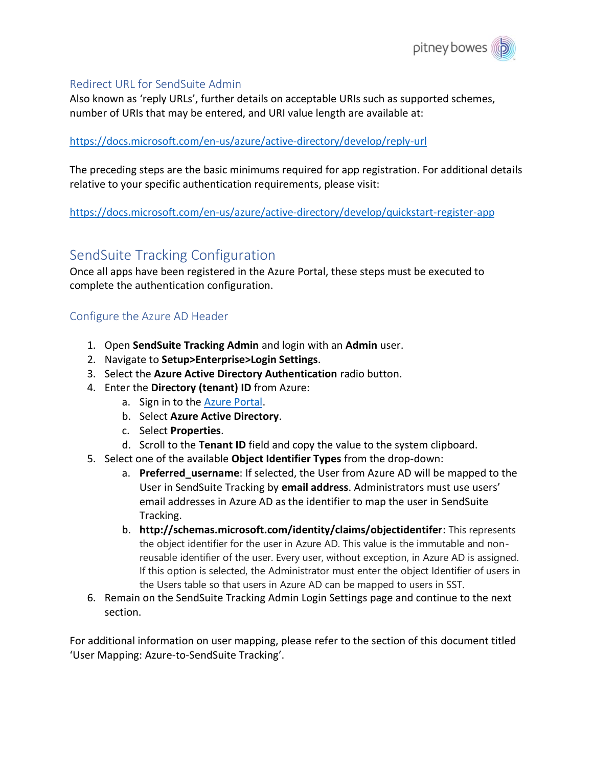

#### <span id="page-4-0"></span>Redirect URL for SendSuite Admin

Also known as 'reply URLs', further details on acceptable URIs such as supported schemes, number of URIs that may be entered, and URI value length are available at:

#### <https://docs.microsoft.com/en-us/azure/active-directory/develop/reply-url>

The preceding steps are the basic minimums required for app registration. For additional details relative to your specific authentication requirements, please visit:

<https://docs.microsoft.com/en-us/azure/active-directory/develop/quickstart-register-app>

### <span id="page-4-1"></span>SendSuite Tracking Configuration

Once all apps have been registered in the Azure Portal, these steps must be executed to complete the authentication configuration.

### <span id="page-4-2"></span>Configure the Azure AD Header

- 1. Open **SendSuite Tracking Admin** and login with an **Admin** user.
- 2. Navigate to **Setup>Enterprise>Login Settings**.
- 3. Select the **Azure Active Directory Authentication** radio button.
- 4. Enter the **Directory (tenant) ID** from Azure:
	- a. Sign in to the **Azure Portal**.
	- b. Select **Azure Active Directory**.
	- c. Select **Properties**.
	- d. Scroll to the **Tenant ID** field and copy the value to the system clipboard.
- 5. Select one of the available **Object Identifier Types** from the drop-down:
	- a. **Preferred\_username**: If selected, the User from Azure AD will be mapped to the User in SendSuite Tracking by **email address**. Administrators must use users' email addresses in Azure AD as the identifier to map the user in SendSuite Tracking.
	- b. **http://schemas.microsoft.com/identity/claims/objectidentifer**: This represents the object identifier for the user in Azure AD. This value is the immutable and nonreusable identifier of the user. Every user, without exception, in Azure AD is assigned. If this option is selected, the Administrator must enter the object Identifier of users in the Users table so that users in Azure AD can be mapped to users in SST.
- 6. Remain on the SendSuite Tracking Admin Login Settings page and continue to the next section.

For additional information on user mapping, please refer to the section of this document titled 'User Mapping: Azure-to-SendSuite Tracking'.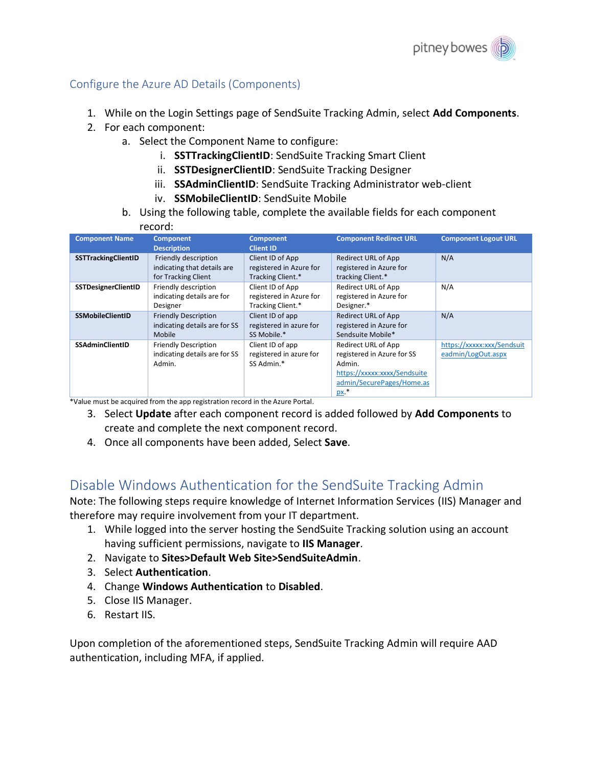

### <span id="page-5-0"></span>Configure the Azure AD Details (Components)

- 1. While on the Login Settings page of SendSuite Tracking Admin, select **Add Components**.
- 2. For each component:
	- a. Select the Component Name to configure:
		- i. **SSTTrackingClientID**: SendSuite Tracking Smart Client
		- ii. **SSTDesignerClientID**: SendSuite Tracking Designer
		- iii. **SSAdminClientID**: SendSuite Tracking Administrator web-client
		- iv. **SSMobileClientID**: SendSuite Mobile
	- b. Using the following table, complete the available fields for each component

#### record:

| <b>Component Name</b>      | <b>Component</b>              | <b>Component</b>        | <b>Component Redirect URL</b> | <b>Component Logout URL</b> |
|----------------------------|-------------------------------|-------------------------|-------------------------------|-----------------------------|
|                            | <b>Description</b>            | <b>Client ID</b>        |                               |                             |
| SSTTrackingClientID        | Friendly description          | Client ID of App        | <b>Redirect URL of App</b>    | N/A                         |
|                            | indicating that details are   | registered in Azure for | registered in Azure for       |                             |
|                            | for Tracking Client           | Tracking Client.*       | tracking Client.*             |                             |
| <b>SSTDesignerClientID</b> | Friendly description          | Client ID of App        | <b>Redirect URL of App</b>    | N/A                         |
|                            | indicating details are for    | registered in Azure for | registered in Azure for       |                             |
|                            | Designer                      | Tracking Client.*       | Designer.*                    |                             |
| <b>SSMobileClientID</b>    | <b>Friendly Description</b>   | Client ID of app        | <b>Redirect URL of App</b>    | N/A                         |
|                            | indicating details are for SS | registered in azure for | registered in Azure for       |                             |
|                            | Mobile                        | SS Mobile.*             | Sendsuite Mobile*             |                             |
| <b>SSAdminClientID</b>     | <b>Friendly Description</b>   | Client ID of app        | Redirect URL of App           | https://xxxxx:xxx/Sendsuit  |
|                            | indicating details are for SS | registered in azure for | registered in Azure for SS    | eadmin/LogOut.aspx          |
|                            | Admin.                        | SS Admin.*              | Admin.                        |                             |
|                            |                               |                         | https://xxxxx:xxxx/Sendsuite  |                             |
|                            |                               |                         | admin/SecurePages/Home.as     |                             |
|                            |                               |                         | <u>px</u> .*                  |                             |

\*Value must be acquired from the app registration record in the Azure Portal.

- 3. Select **Update** after each component record is added followed by **Add Components** to create and complete the next component record.
- 4. Once all components have been added, Select **Save**.

### <span id="page-5-1"></span>Disable Windows Authentication for the SendSuite Tracking Admin

Note: The following steps require knowledge of Internet Information Services (IIS) Manager and therefore may require involvement from your IT department.

- 1. While logged into the server hosting the SendSuite Tracking solution using an account having sufficient permissions, navigate to **IIS Manager**.
- 2. Navigate to **Sites>Default Web Site>SendSuiteAdmin**.
- 3. Select **Authentication**.
- 4. Change **Windows Authentication** to **Disabled**.
- 5. Close IIS Manager.
- 6. Restart IIS.

Upon completion of the aforementioned steps, SendSuite Tracking Admin will require AAD authentication, including MFA, if applied.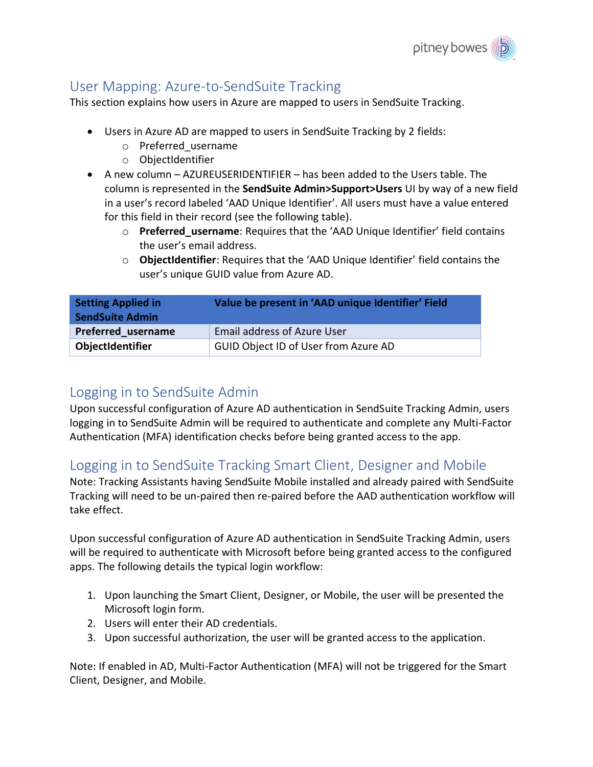

### <span id="page-6-0"></span>User Mapping: Azure-to-SendSuite Tracking

This section explains how users in Azure are mapped to users in SendSuite Tracking.

- Users in Azure AD are mapped to users in SendSuite Tracking by 2 fields:
	- o Preferred\_username
	- o ObjectIdentifier
- A new column AZUREUSERIDENTIFIER has been added to the Users table. The column is represented in the **SendSuite Admin>Support>Users** UI by way of a new field in a user's record labeled 'AAD Unique Identifier'. All users must have a value entered for this field in their record (see the following table).
	- o **Preferred\_username**: Requires that the 'AAD Unique Identifier' field contains the user's email address.
	- o **ObjectIdentifier**: Requires that the 'AAD Unique Identifier' field contains the user's unique GUID value from Azure AD.

| <b>Setting Applied in</b><br><b>SendSuite Admin</b> | Value be present in 'AAD unique Identifier' Field |
|-----------------------------------------------------|---------------------------------------------------|
| Preferred username                                  | <b>Email address of Azure User</b>                |
| ObjectIdentifier                                    | GUID Object ID of User from Azure AD              |

### <span id="page-6-1"></span>Logging in to SendSuite Admin

Upon successful configuration of Azure AD authentication in SendSuite Tracking Admin, users logging in to SendSuite Admin will be required to authenticate and complete any Multi-Factor Authentication (MFA) identification checks before being granted access to the app.

### <span id="page-6-2"></span>Logging in to SendSuite Tracking Smart Client, Designer and Mobile

Note: Tracking Assistants having SendSuite Mobile installed and already paired with SendSuite Tracking will need to be un-paired then re-paired before the AAD authentication workflow will take effect.

Upon successful configuration of Azure AD authentication in SendSuite Tracking Admin, users will be required to authenticate with Microsoft before being granted access to the configured apps. The following details the typical login workflow:

- 1. Upon launching the Smart Client, Designer, or Mobile, the user will be presented the Microsoft login form.
- 2. Users will enter their AD credentials.
- 3. Upon successful authorization, the user will be granted access to the application.

Note: If enabled in AD, Multi-Factor Authentication (MFA) will not be triggered for the Smart Client, Designer, and Mobile.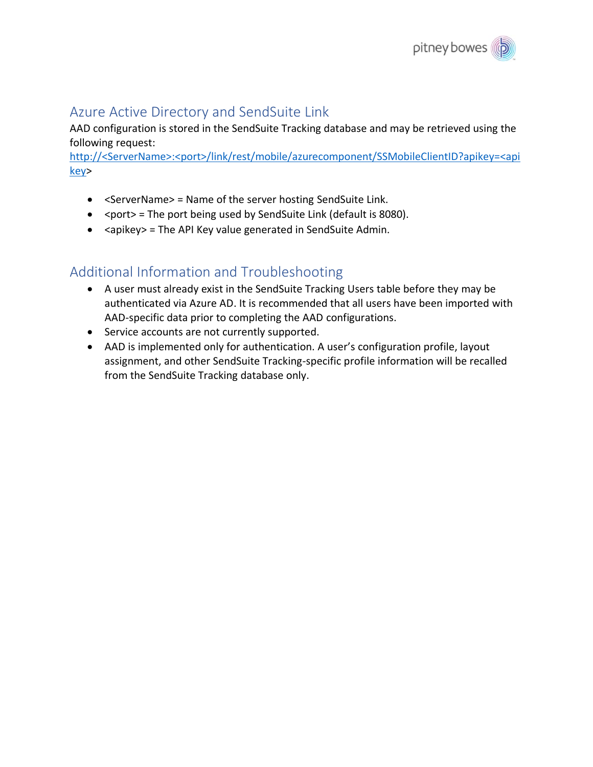

### <span id="page-7-0"></span>Azure Active Directory and SendSuite Link

AAD configuration is stored in the SendSuite Tracking database and may be retrieved using the following request:

http://<ServerName>:<port>/link/rest/mobile/azurecomponent/SSMobileClientID?apikey=<api key>

- <ServerName> = Name of the server hosting SendSuite Link.
- $\leq$  port = The port being used by SendSuite Link (default is 8080).
- <apikey> = The API Key value generated in SendSuite Admin.

## <span id="page-7-1"></span>Additional Information and Troubleshooting

- A user must already exist in the SendSuite Tracking Users table before they may be authenticated via Azure AD. It is recommended that all users have been imported with AAD-specific data prior to completing the AAD configurations.
- Service accounts are not currently supported.
- <span id="page-7-2"></span>• AAD is implemented only for authentication. A user's configuration profile, layout assignment, and other SendSuite Tracking-specific profile information will be recalled from the SendSuite Tracking database only.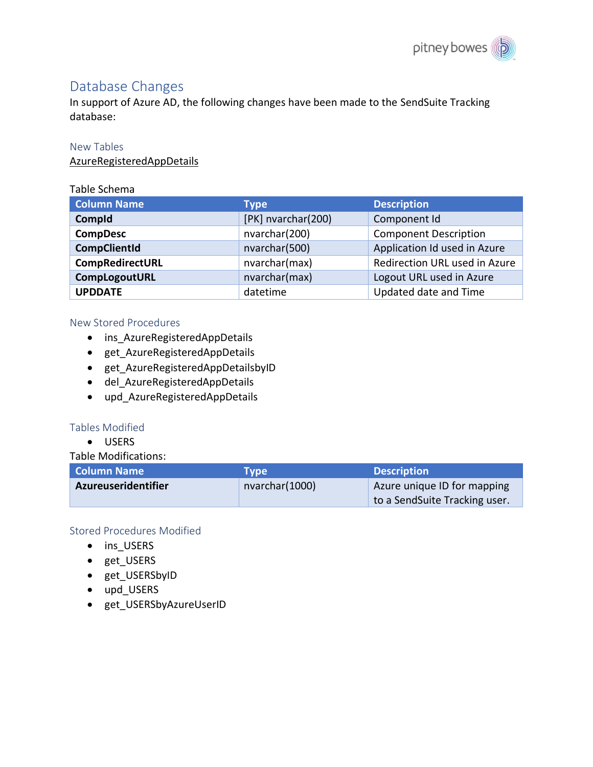### Database Changes

In support of Azure AD, the following changes have been made to the SendSuite Tracking database:

#### <span id="page-8-0"></span>New Tables

AzureRegisteredAppDetails

#### Table Schema

| <b>Column Name</b>  | Type               | <b>Description</b>            |
|---------------------|--------------------|-------------------------------|
| Compld              | [PK] nvarchar(200) | Component Id                  |
| <b>CompDesc</b>     | nvarchar(200)      | <b>Component Description</b>  |
| <b>CompClientId</b> | nvarchar(500)      | Application Id used in Azure  |
| CompRedirectURL     | nvarchar(max)      | Redirection URL used in Azure |
| CompLogoutURL       | nvarchar(max)      | Logout URL used in Azure      |
| <b>UPDDATE</b>      | datetime           | Updated date and Time         |

#### <span id="page-8-1"></span>New Stored Procedures

- ins AzureRegisteredAppDetails
- get\_AzureRegisteredAppDetails
- get AzureRegisteredAppDetailsbyID
- del\_AzureRegisteredAppDetails
- upd\_AzureRegisteredAppDetails

### <span id="page-8-2"></span>Tables Modified

• USERS

#### Table Modifications:

| <b>Column Name</b>         | Tvpe            | <b>Description</b>            |
|----------------------------|-----------------|-------------------------------|
| <b>Azureuseridentifier</b> | nvarchar (1000) | Azure unique ID for mapping   |
|                            |                 | to a SendSuite Tracking user. |

### <span id="page-8-3"></span>Stored Procedures Modified

- ins\_USERS
- get\_USERS
- get\_USERSbyID
- upd\_USERS
- <span id="page-8-4"></span>• get\_USERSbyAzureUserID